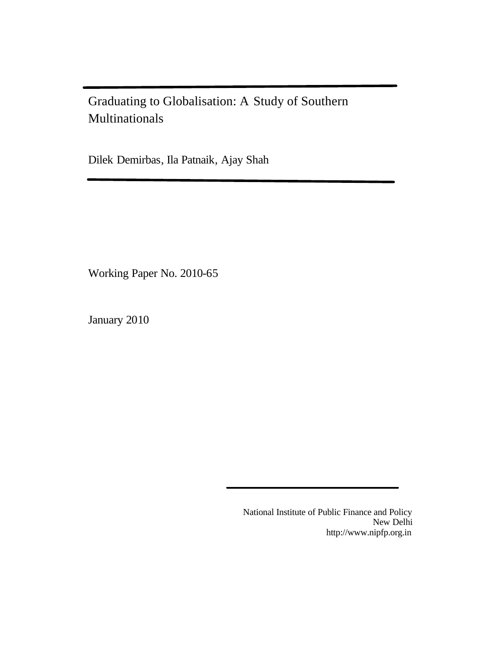Graduating to Globalisation: A Study of Southern Multinationals

Dilek Demirbas, Ila Patnaik, Ajay Shah

Working Paper No. 2010-65

January 2010

National Institute of Public Finance and Policy New Delhi http://www.nipfp.org.in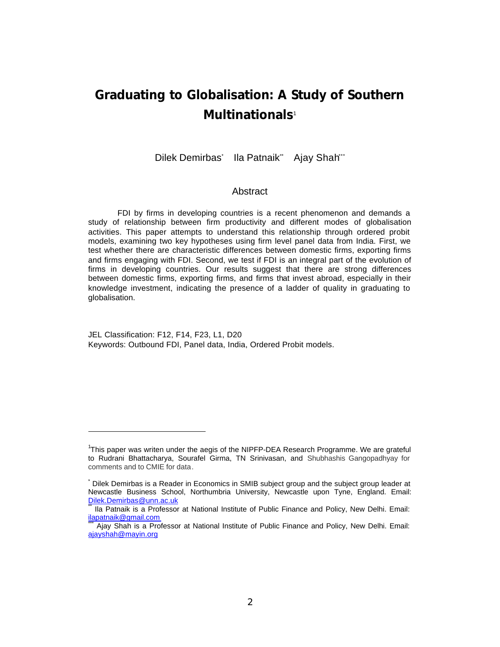# **Graduating to Globalisation: A Study of Southern Multinationals**<sup>1</sup>

Dilek Demirbas` Ila Patnaik<sup>\*</sup> Ajay Shah<sup>\*\*</sup>

### **Abstract**

FDI by firms in developing countries is a recent phenomenon and demands a study of relationship between firm productivity and different modes of globalisation activities. This paper attempts to understand this relationship through ordered probit models, examining two key hypotheses using firm level panel data from India. First, we test whether there are characteristic differences between domestic firms, exporting firms and firms engaging with FDI. Second, we test if FDI is an integral part of the evolution of firms in developing countries. Our results suggest that there are strong differences between domestic firms, exporting firms, and firms that invest abroad, especially in their knowledge investment, indicating the presence of a ladder of quality in graduating to globalisation.

JEL Classification: F12, F14, F23, L1, D20 Keywords: Outbound FDI, Panel data, India, Ordered Probit models.

 $\overline{a}$ 

<sup>&</sup>lt;sup>1</sup>This paper was writen under the aegis of the NIPFP-DEA Research Programme. We are grateful to Rudrani Bhattacharya, Sourafel Girma, TN Srinivasan, and Shubhashis Gangopadhyay for comments and to CMIE for data.

Dilek Demirbas is a Reader in Economics in SMIB subject group and the subject group leader at Newcastle Business School, Northumbria University, Newcastle upon Tyne, England. Email: Dilek.Demirbas@unn.ac.uk

Ila Patnaik is a Professor at National Institute of Public Finance and Policy, New Delhi. Email: ilapatnaik@gmail.com

Ajay Shah is a Professor at National Institute of Public Finance and Policy, New Delhi. Email: ajayshah@mayin.org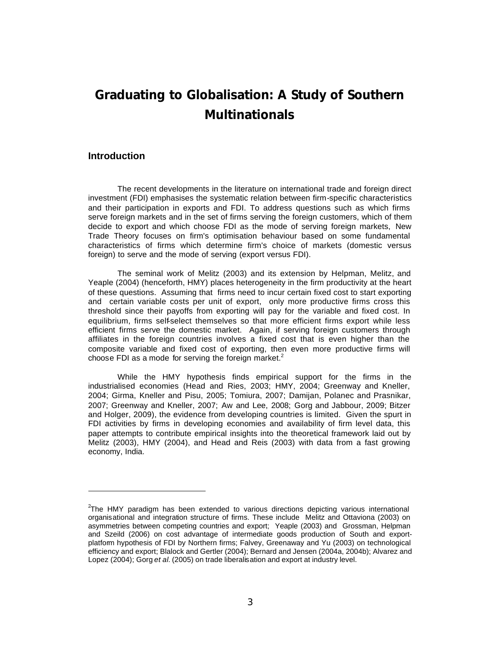# **Graduating to Globalisation: A Study of Southern Multinationals**

### **Introduction**

 $\overline{a}$ 

The recent developments in the literature on international trade and foreign direct investment (FDI) emphasises the systematic relation between firm-specific characteristics and their participation in exports and FDI. To address questions such as which firms serve foreign markets and in the set of firms serving the foreign customers, which of them decide to export and which choose FDI as the mode of serving foreign markets, New Trade Theory focuses on firm's optimisation behaviour based on some fundamental characteristics of firms which determine firm's choice of markets (domestic versus foreign) to serve and the mode of serving (export versus FDI).

The seminal work of Melitz (2003) and its extension by Helpman, Melitz, and Yeaple (2004) (henceforth, HMY) places heterogeneity in the firm productivity at the heart of these questions. Assuming that firms need to incur certain fixed cost to start exporting and certain variable costs per unit of export, only more productive firms cross this threshold since their payoffs from exporting will pay for the variable and fixed cost. In equilibrium, firms self-select themselves so that more efficient firms export while less efficient firms serve the domestic market. Again, if serving foreign customers through affiliates in the foreign countries involves a fixed cost that is even higher than the composite variable and fixed cost of exporting, then even more productive firms will choose FDI as a mode for serving the foreign market.<sup>2</sup>

While the HMY hypothesis finds empirical support for the firms in the industrialised economies (Head and Ries, 2003; HMY, 2004; Greenway and Kneller, 2004; Girma, Kneller and Pisu, 2005; Tomiura, 2007; Damijan, Polanec and Prasnikar, 2007; Greenway and Kneller, 2007; Aw and Lee, 2008; Gorg and Jabbour, 2009; Bitzer and Holger, 2009), the evidence from developing countries is limited. Given the spurt in FDI activities by firms in developing economies and availability of firm level data, this paper attempts to contribute empirical insights into the theoretical framework laid out by Melitz (2003), HMY (2004), and Head and Reis (2003) with data from a fast growing economy, India.

<sup>&</sup>lt;sup>2</sup>The HMY paradigm has been extended to various directions depicting various international organisational and integration structure of firms. These include Melitz and Ottaviona (2003) on asymmetries between competing countries and export; Yeaple (2003) and Grossman, Helpman and Szeild (2006) on cost advantage of intermediate goods production of South and exportplatform hypothesis of FDI by Northern firms; Falvey, Greenaway and Yu (2003) on technological efficiency and export; Blalock and Gertler (2004); Bernard and Jensen (2004a, 2004b); Alvarez and Lopez (2004); Gorg *et al.* (2005) on trade liberalisation and export at industry level.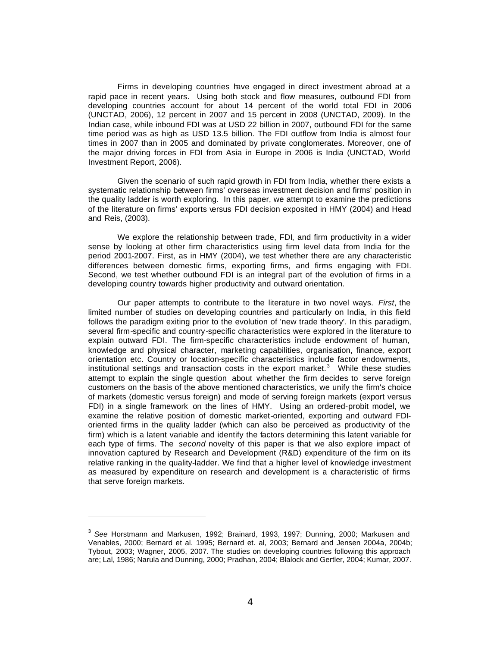Firms in developing countries have engaged in direct investment abroad at a rapid pace in recent years. Using both stock and flow measures, outbound FDI from developing countries account for about 14 percent of the world total FDI in 2006 (UNCTAD, 2006), 12 percent in 2007 and 15 percent in 2008 (UNCTAD, 2009). In the Indian case, while inbound FDI was at USD 22 billion in 2007, outbound FDI for the same time period was as high as USD 13.5 billion. The FDI outflow from India is almost four times in 2007 than in 2005 and dominated by private conglomerates. Moreover, one of the major driving forces in FDI from Asia in Europe in 2006 is India (UNCTAD, World Investment Report, 2006).

Given the scenario of such rapid growth in FDI from India, whether there exists a systematic relationship between firms' overseas investment decision and firms' position in the quality ladder is worth exploring. In this paper, we attempt to examine the predictions of the literature on firms' exports versus FDI decision exposited in HMY (2004) and Head and Reis, (2003).

We explore the relationship between trade, FDI, and firm productivity in a wider sense by looking at other firm characteristics using firm level data from India for the period 2001-2007. First, as in HMY (2004), we test whether there are any characteristic differences between domestic firms, exporting firms, and firms engaging with FDI. Second, we test whether outbound FDI is an integral part of the evolution of firms in a developing country towards higher productivity and outward orientation.

Our paper attempts to contribute to the literature in two novel ways. *First*, the limited number of studies on developing countries and particularly on India, in this field follows the paradigm exiting prior to the evolution of 'new trade theory'. In this paradigm, several firm-specific and country-specific characteristics were explored in the literature to explain outward FDI. The firm-specific characteristics include endowment of human, knowledge and physical character, marketing capabilities, organisation, finance, export orientation etc. Country or location-specific characteristics include factor endowments, institutional settings and transaction costs in the export market. $3$  While these studies attempt to explain the single question about whether the firm decides to serve foreign customers on the basis of the above mentioned characteristics, we unify the firm's choice of markets (domestic versus foreign) and mode of serving foreign markets (export versus FDI) in a single framework on the lines of HMY. Using an ordered-probit model, we examine the relative position of domestic market-oriented, exporting and outward FDIoriented firms in the quality ladder (which can also be perceived as productivity of the firm) which is a latent variable and identify the factors determining this latent variable for each type of firms. The *second* novelty of this paper is that we also explore impact of innovation captured by Research and Development (R&D) expenditure of the firm on its relative ranking in the quality-ladder. We find that a higher level of knowledge investment as measured by expenditure on research and development is a characteristic of firms that serve foreign markets.

 $\overline{a}$ 

<sup>3</sup> *See* Horstmann and Markusen, 1992; Brainard, 1993, 1997; Dunning, 2000; Markusen and Venables, 2000; Bernard et al. 1995; Bernard et. al, 2003; Bernard and Jensen 2004a, 2004b; Tybout, 2003; Wagner, 2005, 2007. The studies on developing countries following this approach are; Lal, 1986; Narula and Dunning, 2000; Pradhan, 2004; Blalock and Gertler, 2004; Kumar, 2007.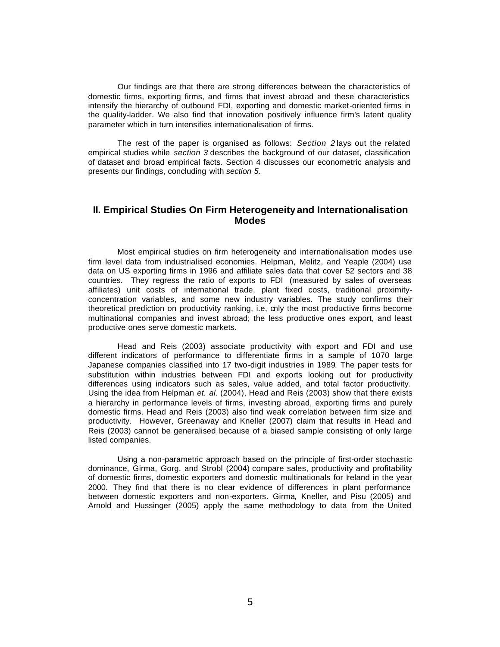Our findings are that there are strong differences between the characteristics of domestic firms, exporting firms, and firms that invest abroad and these characteristics intensify the hierarchy of outbound FDI, exporting and domestic market-oriented firms in the quality-ladder. We also find that innovation positively influence firm's latent quality parameter which in turn intensifies internationalisation of firms.

The rest of the paper is organised as follows: *Section 2* lays out the related empirical studies while *section 3* describes the background of our dataset, classification of dataset and broad empirical facts. Section 4 discusses our econometric analysis and presents our findings, concluding with *section 5.*

## **II. Empirical Studies On Firm Heterogeneity and Internationalisation Modes**

Most empirical studies on firm heterogeneity and internationalisation modes use firm level data from industrialised economies. Helpman, Melitz, and Yeaple (2004) use data on US exporting firms in 1996 and affiliate sales data that cover 52 sectors and 38 countries. They regress the ratio of exports to FDI (measured by sales of overseas affiliates) unit costs of international trade, plant fixed costs, traditional proximityconcentration variables, and some new industry variables. The study confirms their theoretical prediction on productivity ranking, i.e, only the most productive firms become multinational companies and invest abroad; the less productive ones export, and least productive ones serve domestic markets.

Head and Reis (2003) associate productivity with export and FDI and use different indicators of performance to differentiate firms in a sample of 1070 large Japanese companies classified into 17 two-digit industries in 1989. The paper tests for substitution within industries between FDI and exports looking out for productivity differences using indicators such as sales, value added, and total factor productivity. Using the idea from Helpman *et. al*. (2004), Head and Reis (2003) show that there exists a hierarchy in performance levels of firms, investing abroad, exporting firms and purely domestic firms. Head and Reis (2003) also find weak correlation between firm size and productivity. However, Greenaway and Kneller (2007) claim that results in Head and Reis (2003) cannot be generalised because of a biased sample consisting of only large listed companies.

Using a non-parametric approach based on the principle of first-order stochastic dominance, Girma, Gorg, and Strobl (2004) compare sales, productivity and profitability of domestic firms, domestic exporters and domestic multinationals for Ireland in the year 2000. They find that there is no clear evidence of differences in plant performance between domestic exporters and non-exporters. Girma, Kneller, and Pisu (2005) and Arnold and Hussinger (2005) apply the same methodology to data from the United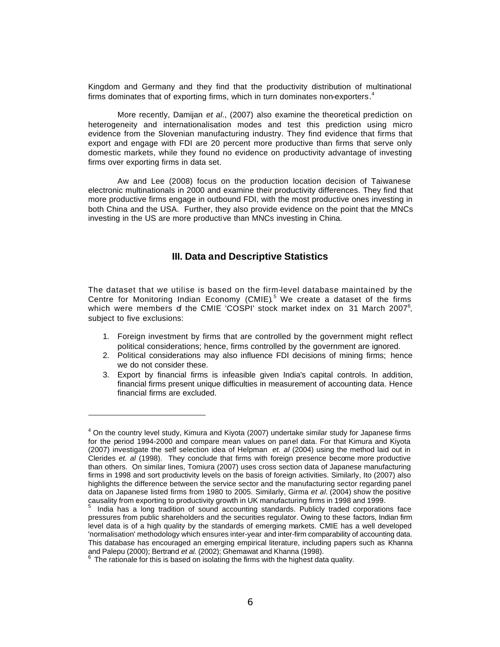Kingdom and Germany and they find that the productivity distribution of multinational firms dominates that of exporting firms, which in turn dominates non-exporters.<sup>4</sup>

More recently, Damijan *et al*., (2007) also examine the theoretical prediction on heterogeneity and internationalisation modes and test this prediction using micro evidence from the Slovenian manufacturing industry. They find evidence that firms that export and engage with FDI are 20 percent more productive than firms that serve only domestic markets, while they found no evidence on productivity advantage of investing firms over exporting firms in data set.

Aw and Lee (2008) focus on the production location decision of Taiwanese electronic multinationals in 2000 and examine their productivity differences. They find that more productive firms engage in outbound FDI, with the most productive ones investing in both China and the USA. Further, they also provide evidence on the point that the MNCs investing in the US are more productive than MNCs investing in China.

## **III. Data and Descriptive Statistics**

The dataset that we utilise is based on the firm-level database maintained by the Centre for Monitoring Indian Economy (CMIE).<sup>5</sup> We create a dataset of the firms which were members of the CMIE 'COSPI' stock market index on 31 March 2007<sup>6</sup>, subject to five exclusions:

- 1. Foreign investment by firms that are controlled by the government might reflect political considerations; hence, firms controlled by the government are ignored.
- 2. Political considerations may also influence FDI decisions of mining firms; hence we do not consider these.
- 3. Export by financial firms is infeasible given India's capital controls. In addition, financial firms present unique difficulties in measurement of accounting data. Hence financial firms are excluded.

 $\overline{a}$ 

<sup>4</sup> On the country level study, Kimura and Kiyota (2007) undertake similar study for Japanese firms for the period 1994-2000 and compare mean values on panel data. For that Kimura and Kiyota (2007) investigate the self selection idea of Helpman *et. al* (2004) using the method laid out in Clerides *et. al* (1998). They conclude that firms with foreign presence become more productive than others. On similar lines, Tomiura (2007) uses cross section data of Japanese manufacturing firms in 1998 and sort productivity levels on the basis of foreign activities. Similarly, Ito (2007) also highlights the difference between the service sector and the manufacturing sector regarding panel data on Japanese listed firms from 1980 to 2005. Similarly, Girma *et al.* (2004) show the positive causality from exporting to productivity growth in UK manufacturing firms in 1998 and 1999.

<sup>5</sup> India has a long tradition of sound accounting standards. Publicly traded corporations face pressures from public shareholders and the securities regulator. Owing to these factors, Indian firm level data is of a high quality by the standards of emerging markets. CMIE has a well developed 'normalisation' methodology which ensures inter-year and inter-firm comparability of accounting data. This database has encouraged an emerging empirical literature, including papers such as Khanna and Palepu (2000); Bertrand *et al.* (2002); Ghemawat and Khanna (1998).

 $6$  The rationale for this is based on isolating the firms with the highest data quality.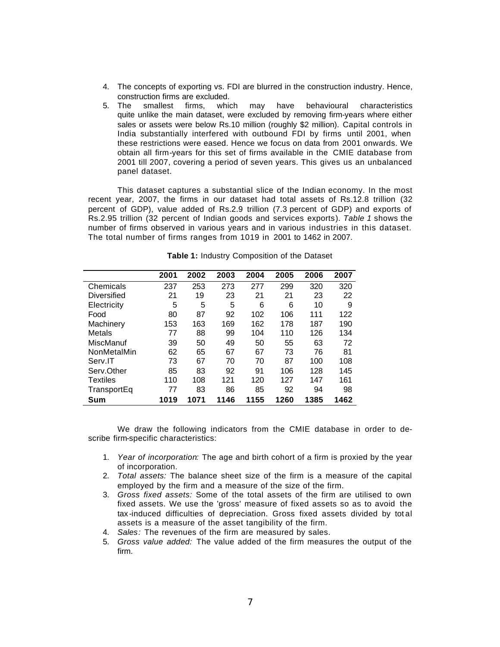- 4. The concepts of exporting vs. FDI are blurred in the construction industry. Hence, construction firms are excluded.
- 5. The smallest firms, which may have behavioural characteristics quite unlike the main dataset, were excluded by removing firm-years where either sales or assets were below Rs.10 million (roughly \$2 million). Capital controls in India substantially interfered with outbound FDI by firms until 2001, when these restrictions were eased. Hence we focus on data from 2001 onwards. We obtain all firm-years for this set of firms available in the CMIE database from 2001 till 2007, covering a period of seven years. This gives us an unbalanced panel dataset.

This dataset captures a substantial slice of the Indian economy. In the most recent year, 2007, the firms in our dataset had total assets of Rs.12.8 trillion (32 percent of GDP), value added of Rs.2.9 trillion (7.3 percent of GDP) and exports of Rs.2.95 trillion (32 percent of Indian goods and services exports). *Table 1* shows the number of firms observed in various years and in various industries in this dataset. The total number of firms ranges from 1019 in 2001 to 1462 in 2007.

|                 | 2001 | 2002 | 2003 | 2004 | 2005 | 2006 | 2007 |
|-----------------|------|------|------|------|------|------|------|
| Chemicals       | 237  | 253  | 273  | 277  | 299  | 320  | 320  |
| Diversified     | 21   | 19   | 23   | 21   | 21   | 23   | 22   |
| Electricity     | 5    | 5    | 5    | 6    | 6    | 10   | 9    |
| Food            | 80   | 87   | 92   | 102  | 106  | 111  | 122  |
| Machinery       | 153  | 163  | 169  | 162  | 178  | 187  | 190  |
| Metals          | 77   | 88   | 99   | 104  | 110  | 126  | 134  |
| MiscManuf       | 39   | 50   | 49   | 50   | 55   | 63   | 72   |
| NonMetalMin     | 62   | 65   | 67   | 67   | 73   | 76   | 81   |
| Serv.IT         | 73   | 67   | 70   | 70   | 87   | 100  | 108  |
| Serv.Other      | 85   | 83   | 92   | 91   | 106  | 128  | 145  |
| <b>Textiles</b> | 110  | 108  | 121  | 120  | 127  | 147  | 161  |
| TransportEq     | 77   | 83   | 86   | 85   | 92   | 94   | 98   |
| Sum             | 1019 | 1071 | 1146 | 1155 | 1260 | 1385 | 1462 |

**Table 1:** Industry Composition of the Dataset

We draw the following indicators from the CMIE database in order to describe firm-specific characteristics:

- 1. *Year of incorporation:* The age and birth cohort of a firm is proxied by the year of incorporation.
- 2. *Total assets:* The balance sheet size of the firm is a measure of the capital employed by the firm and a measure of the size of the firm.
- 3. *Gross fixed assets:* Some of the total assets of the firm are utilised to own fixed assets. We use the 'gross' measure of fixed assets so as to avoid the tax -induced difficulties of depreciation. Gross fixed assets divided by tot al assets is a measure of the asset tangibility of the firm.
- 4. *Sales:* The revenues of the firm are measured by sales.
- 5. *Gross value added:* The value added of the firm measures the output of the firm.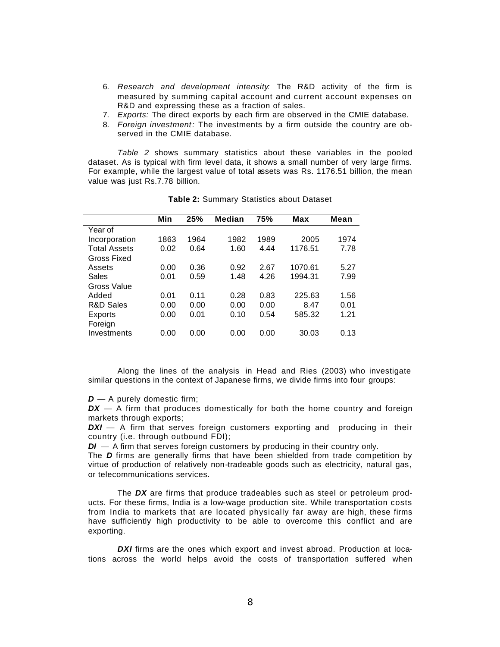- 6. *Research and development intensity:* The R&D activity of the firm is measured by summing capital account and current account expenses on R&D and expressing these as a fraction of sales.
- 7. *Exports:* The direct exports by each firm are observed in the CMIE database.
- 8. *Foreign investment:* The investments by a firm outside the country are observed in the CMIE database.

*Table 2* shows summary statistics about these variables in the pooled dataset. As is typical with firm level data, it shows a small number of very large firms. For example, while the largest value of total assets was Rs. 1176.51 billion, the mean value was just Rs.7.78 billion.

|                      | Min  | 25%  | <b>Median</b> | 75%  | <b>Max</b> | Mean |
|----------------------|------|------|---------------|------|------------|------|
| Year of              |      |      |               |      |            |      |
| Incorporation        | 1863 | 1964 | 1982          | 1989 | 2005       | 1974 |
| <b>Total Assets</b>  | 0.02 | 0.64 | 1.60          | 4.44 | 1176.51    | 7.78 |
| Gross Fixed          |      |      |               |      |            |      |
| Assets               | 0.00 | 0.36 | 0.92          | 2.67 | 1070.61    | 5.27 |
| Sales                | 0.01 | 0.59 | 1.48          | 4.26 | 1994.31    | 7.99 |
| Gross Value          |      |      |               |      |            |      |
| Added                | 0.01 | 0.11 | 0.28          | 0.83 | 225.63     | 1.56 |
| <b>R&amp;D Sales</b> | 0.00 | 0.00 | 0.00          | 0.00 | 8.47       | 0.01 |
| Exports              | 0.00 | 0.01 | 0.10          | 0.54 | 585.32     | 1.21 |
| Foreign              |      |      |               |      |            |      |
| Investments          | 0.00 | 0.00 | 0.00          | 0.00 | 30.03      | 0.13 |
|                      |      |      |               |      |            |      |

**Table 2:** Summary Statistics about Dataset

Along the lines of the analysis in Head and Ries (2003) who investigate similar questions in the context of Japanese firms, we divide firms into four groups:

*D* — A purely domestic firm;

*DX* — A firm that produces domestically for both the home country and foreign markets through exports;

**DXI** — A firm that serves foreign customers exporting and producing in their country (i.e. through outbound FDI);

*DI* — A firm that serves foreign customers by producing in their country only.

The *D* firms are generally firms that have been shielded from trade competition by virtue of production of relatively non-tradeable goods such as electricity, natural gas, or telecommunications services.

The *DX* are firms that produce tradeables such as steel or petroleum products. For these firms, India is a low-wage production site. While transportation costs from India to markets that are located physically far away are high, these firms have sufficiently high productivity to be able to overcome this conflict and are exporting.

**DXI** firms are the ones which export and invest abroad. Production at locations across the world helps avoid the costs of transportation suffered when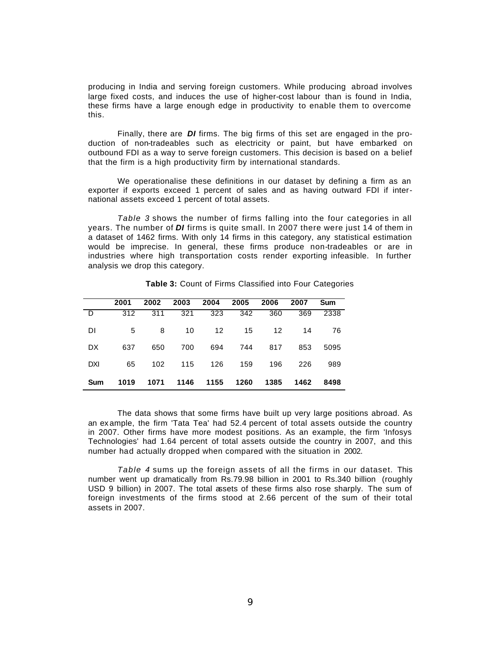producing in India and serving foreign customers. While producing abroad involves large fixed costs, and induces the use of higher-cost labour than is found in India, these firms have a large enough edge in productivity to enable them to overcome this.

Finally, there are *DI* firms. The big firms of this set are engaged in the production of non-tradeables such as electricity or paint, but have embarked on outbound FDI as a way to serve foreign customers. This decision is based on a belief that the firm is a high productivity firm by international standards.

We operationalise these definitions in our dataset by defining a firm as an exporter if exports exceed 1 percent of sales and as having outward FDI if international assets exceed 1 percent of total assets.

*Table 3* shows the number of firms falling into the four categories in all years. The number of *DI* firms is quite small. In 2007 there were just 14 of them in a dataset of 1462 firms. With only 14 firms in this category, any statistical estimation would be imprecise. In general, these firms produce non-tradeables or are in industries where high transportation costs render exporting infeasible. In further analysis we drop this category.

|            | 2001 | 2002 | 2003 | 2004 | 2005 | 2006 | 2007 | Sum  |
|------------|------|------|------|------|------|------|------|------|
| D          | 312  | 311  | 321  | 323  | 342  | 360  | 369  | 2338 |
| DI         | 5    | 8    | 10   | 12   | 15   | 12   | 14   | 76   |
| DX.        | 637  | 650  | 700  | 694  | 744  | 817  | 853  | 5095 |
| DXI        | 65   | 102  | 115  | 126  | 159  | 196  | 226  | 989  |
| <b>Sum</b> | 1019 | 1071 | 1146 | 1155 | 1260 | 1385 | 1462 | 8498 |

**Table 3:** Count of Firms Classified into Four Categories

The data shows that some firms have built up very large positions abroad. As an ex ample, the firm 'Tata Tea' had 52.4 percent of total assets outside the country in 2007. Other firms have more modest positions. As an example, the firm 'Infosys Technologies' had 1.64 percent of total assets outside the country in 2007, and this number had actually dropped when compared with the situation in 2002.

*Table 4* sums up the foreign assets of all the firms in our dataset. This number went up dramatically from Rs.79.98 billion in 2001 to Rs.340 billion (roughly USD 9 billion) in 2007. The total assets of these firms also rose sharply. The sum of foreign investments of the firms stood at 2.66 percent of the sum of their total assets in 2007.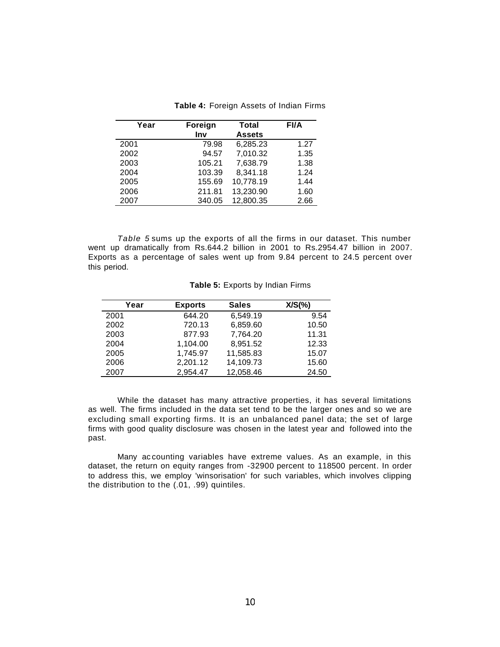| Year | Foreign<br>Inv | <b>Total</b><br><b>Assets</b> | <b>FI/A</b> |
|------|----------------|-------------------------------|-------------|
| 2001 | 79.98          | 6,285.23                      | 1.27        |
| 2002 | 94.57          | 7,010.32                      | 1.35        |
| 2003 | 105.21         | 7,638.79                      | 1.38        |
| 2004 | 103.39         | 8,341.18                      | 1.24        |
| 2005 | 155.69         | 10,778.19                     | 1.44        |
| 2006 | 211.81         | 13,230.90                     | 1.60        |
| 2007 | 340.05         | 12,800.35                     | 2.66        |
|      |                |                               |             |

**Table 4:** Foreign Assets of Indian Firms

*Table 5* sums up the exports of all the firms in our dataset. This number went up dramatically from Rs.644.2 billion in 2001 to Rs.2954.47 billion in 2007. Exports as a percentage of sales went up from 9.84 percent to 24.5 percent over this period.

| Year | <b>Exports</b> | <b>Sales</b> | $X/S(\% )$ |
|------|----------------|--------------|------------|
| 2001 | 644.20         | 6,549.19     | 9.54       |
| 2002 | 720.13         | 6,859.60     | 10.50      |
| 2003 | 877.93         | 7,764.20     | 11.31      |
| 2004 | 1,104.00       | 8,951.52     | 12.33      |
| 2005 | 1,745.97       | 11,585.83    | 15.07      |
| 2006 | 2,201.12       | 14,109.73    | 15.60      |
| 2007 | 2.954.47       | 12,058.46    | 24.50      |

#### **Table 5:** Exports by Indian Firms

While the dataset has many attractive properties, it has several limitations as well. The firms included in the data set tend to be the larger ones and so we are excluding small exporting firms. It is an unbalanced panel data; the set of large firms with good quality disclosure was chosen in the latest year and followed into the past.

Many ac counting variables have extreme values. As an example, in this dataset, the return on equity ranges from -32900 percent to 118500 percent. In order to address this, we employ 'winsorisation' for such variables, which involves clipping the distribution to the (.01, .99) quintiles.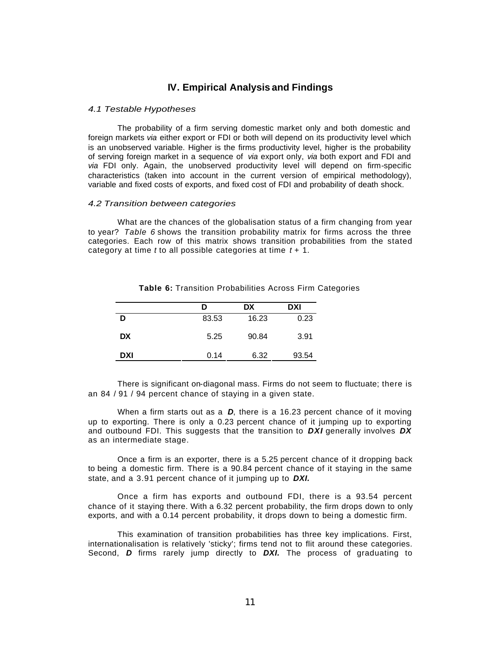## **IV. Empirical Analysis and Findings**

#### *4.1 Testable Hypotheses*

The probability of a firm serving domestic market only and both domestic and foreign markets *via* either export or FDI or both will depend on its productivity level which is an unobserved variable. Higher is the firms productivity level, higher is the probability of serving foreign market in a sequence of *via* export only, *via* both export and FDI and *via* FDI only. Again, the unobserved productivity level will depend on firm-specific characteristics (taken into account in the current version of empirical methodology), variable and fixed costs of exports, and fixed cost of FDI and probability of death shock.

#### *4.2 Transition between categories*

What are the chances of the globalisation status of a firm changing from year to year? *Table 6* shows the transition probability matrix for firms across the three categories. Each row of this matrix shows transition probabilities from the stated category at time *t* to all possible categories at time *t* + 1.

|            | D     | DX    | <b>DXI</b> |
|------------|-------|-------|------------|
| D          | 83.53 | 16.23 | 0.23       |
| <b>DX</b>  | 5.25  | 90.84 | 3.91       |
| <b>DXI</b> | 0.14  | 6.32  | 93.54      |

**Table 6:** Transition Probabilities Across Firm Categories

There is significant on-diagonal mass. Firms do not seem to fluctuate; there is an 84 / 91 / 94 percent chance of staying in a given state.

When a firm starts out as a *D*, there is a 16.23 percent chance of it moving up to exporting. There is only a 0.23 percent chance of it jumping up to exporting and outbound FDI. This suggests that the transition to *DXI* generally involves *DX* as an intermediate stage.

Once a firm is an exporter, there is a 5.25 percent chance of it dropping back to being a domestic firm. There is a 90.84 percent chance of it staying in the same state, and a 3.91 percent chance of it jumping up to *DXI.*

Once a firm has exports and outbound FDI, there is a 93.54 percent chance of it staying there. With a 6.32 percent probability, the firm drops down to only exports, and with a 0.14 percent probability, it drops down to being a domestic firm.

This examination of transition probabilities has three key implications. First, internationalisation is relatively 'sticky'; firms tend not to flit around these categories. Second, *D* firms rarely jump directly to *DXI.* The process of graduating to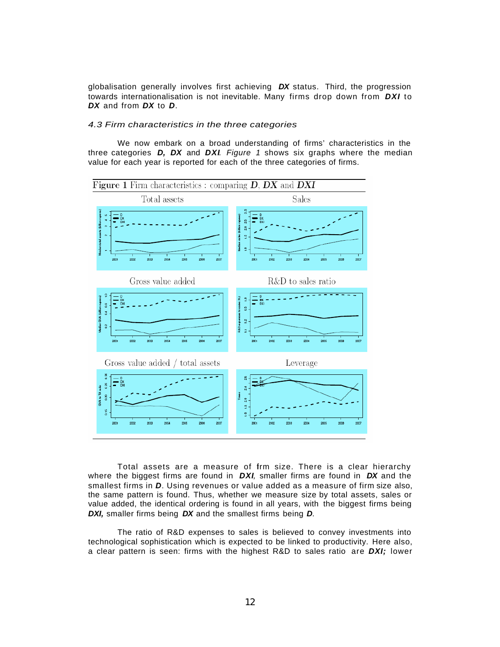globalisation generally involves first achieving *DX* status. Third, the progression towards internationalisation is not inevitable. Many firms drop down from *DXI* to *DX* and from *DX* to *D*.

#### *4.3 Firm characteristics in the three categories*

We now embark on a broad understanding of firms' characteristics in the three categories *D, DX* and *DXI. Figure 1* shows six graphs where the median value for each year is reported for each of the three categories of firms.



Total assets are a measure of firm size. There is a clear hierarchy where the biggest firms are found in *DXI,* smaller firms are found in *DX* and the smallest firms in *D*. Using revenues or value added as a measure of firm size also, the same pattern is found. Thus, whether we measure size by total assets, sales or value added, the identical ordering is found in all years, with the biggest firms being *DXI,* smaller firms being *DX* and the smallest firms being *D*.

The ratio of R&D expenses to sales is believed to convey investments into technological sophistication which is expected to be linked to productivity. Here also, a clear pattern is seen: firms with the highest R&D to sales ratio are *DXI;* lower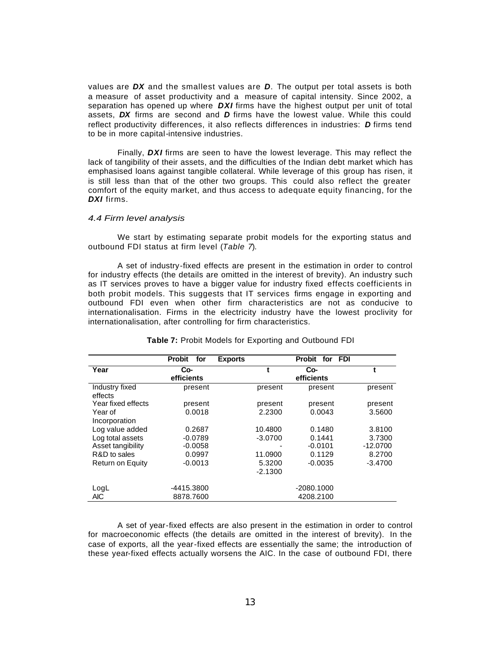values are *DX* and the smallest values are *D*. The output per total assets is both a measure of asset productivity and a measure of capital intensity. Since 2002, a separation has opened up where *DXI* firms have the highest output per unit of total assets, *DX* firms are second and *D* firms have the lowest value. While this could reflect productivity differences, it also reflects differences in industries: *D* firms tend to be in more capital-intensive industries.

Finally, *DXI* firms are seen to have the lowest leverage. This may reflect the lack of tangibility of their assets, and the difficulties of the Indian debt market which has emphasised loans against tangible collateral. While leverage of this group has risen, it is still less than that of the other two groups. This could also reflect the greater comfort of the equity market, and thus access to adequate equity financing, for the *DXI* firms.

#### *4.4 Firm level analysis*

We start by estimating separate probit models for the exporting status and outbound FDI status at firm level (*Table 7*).

A set of industry-fixed effects are present in the estimation in order to control for industry effects (the details are omitted in the interest of brevity). An industry such as IT services proves to have a bigger value for industry fixed effects coefficients in both probit models. This suggests that IT services firms engage in exporting and outbound FDI even when other firm characteristics are not as conducive to internationalisation. Firms in the electricity industry have the lowest proclivity for internationalisation, after controlling for firm characteristics.

|                           | <b>Probit</b><br>for | <b>Exports</b> |           | Probit for<br><b>FDI</b> |            |
|---------------------------|----------------------|----------------|-----------|--------------------------|------------|
| Year                      | Co-<br>efficients    |                | t         | Co-<br>efficients        | t          |
| Industry fixed<br>effects | present              |                | present   | present                  | present    |
| Year fixed effects        | present              |                | present   | present                  | present    |
| Year of                   | 0.0018               |                | 2.2300    | 0.0043                   | 3.5600     |
| Incorporation             |                      |                |           |                          |            |
| Log value added           | 0.2687               |                | 10.4800   | 0.1480                   | 3.8100     |
| Log total assets          | $-0.0789$            |                | $-3.0700$ | 0.1441                   | 3.7300     |
| Asset tangibility         | $-0.0058$            |                |           | $-0.0101$                | $-12.0700$ |
| R&D to sales              | 0.0997               |                | 11.0900   | 0.1129                   | 8.2700     |
| Return on Equity          | $-0.0013$            |                | 5.3200    | $-0.0035$                | $-3.4700$  |
|                           |                      |                | $-2.1300$ |                          |            |
| LogL                      | -4415.3800           |                |           | $-2080.1000$             |            |
| <b>AIC</b>                | 8878.7600            |                |           | 4208.2100                |            |

#### **Table 7:** Probit Models for Exporting and Outbound FDI

A set of year-fixed effects are also present in the estimation in order to control for macroeconomic effects (the details are omitted in the interest of brevity). In the case of exports, all the year-fixed effects are essentially the same; the introduction of these year-fixed effects actually worsens the AIC. In the case of outbound FDI, there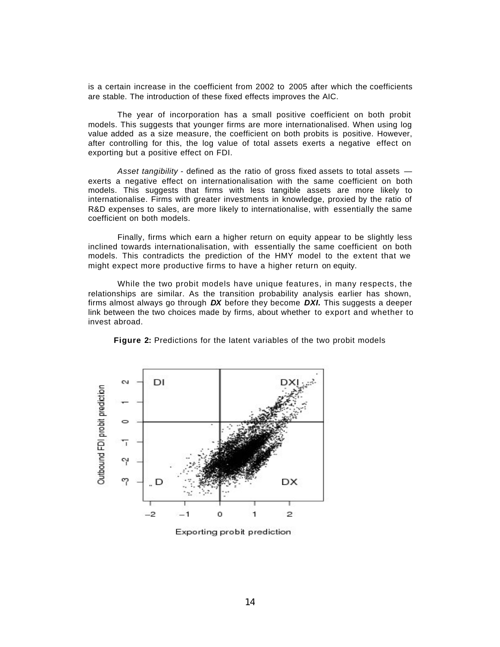is a certain increase in the coefficient from 2002 to 2005 after which the coefficients are stable. The introduction of these fixed effects improves the AIC.

The year of incorporation has a small positive coefficient on both probit models. This suggests that younger firms are more internationalised. When using log value added as a size measure, the coefficient on both probits is positive. However, after controlling for this, the log value of total assets exerts a negative effect on exporting but a positive effect on FDI.

*Asset tangibility* - defined as the ratio of gross fixed assets to total assets exerts a negative effect on internationalisation with the same coefficient on both models. This suggests that firms with less tangible assets are more likely to internationalise. Firms with greater investments in knowledge, proxied by the ratio of R&D expenses to sales, are more likely to internationalise, with essentially the same coefficient on both models.

Finally, firms which earn a higher return on equity appear to be slightly less inclined towards internationalisation, with essentially the same coefficient on both models. This contradicts the prediction of the HMY model to the extent that we might expect more productive firms to have a higher return on equity.

While the two probit models have unique features, in many respects, the relationships are similar. As the transition probability analysis earlier has shown, firms almost always go through *DX* before they become *DXI.* This suggests a deeper link between the two choices made by firms, about whether to export and whether to invest abroad.



**Figure 2:** Predictions for the latent variables of the two probit models

Exporting probit prediction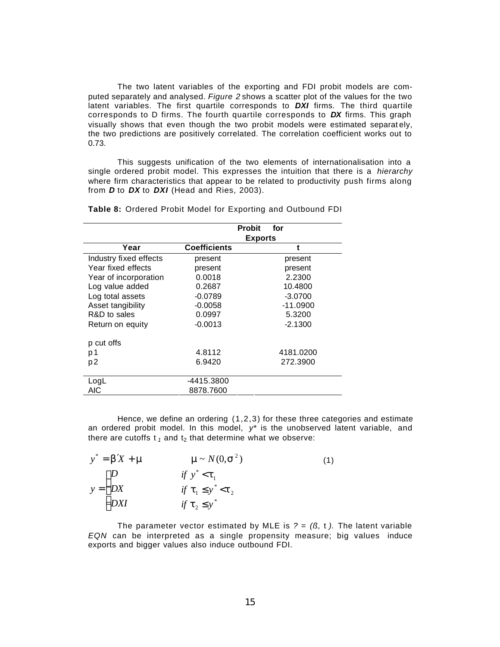The two latent variables of the exporting and FDI probit models are computed separately and analysed. *Figure 2* shows a scatter plot of the values for the two latent variables. The first quartile corresponds to *DXI* firms. The third quartile corresponds to D firms. The fourth quartile corresponds to *DX* firms. This graph visually shows that even though the two probit models were estimated separat ely, the two predictions are positively correlated. The correlation coefficient works out to 0.73.

This suggests unification of the two elements of internationalisation into a single ordered probit model. This expresses the intuition that there is a *hierarchy*  where firm characteristics that appear to be related to productivity push firms along from *D* to *DX* to *DXI* (Head and Ries, 2003).

|                        |                     | <b>Probit</b><br>for |
|------------------------|---------------------|----------------------|
|                        |                     | <b>Exports</b>       |
| Year                   | <b>Coefficients</b> | t                    |
| Industry fixed effects | present             | present              |
| Year fixed effects     | present             | present              |
| Year of incorporation  | 0.0018              | 2.2300               |
| Log value added        | 0.2687              | 10.4800              |
| Log total assets       | $-0.0789$           | $-3.0700$            |
| Asset tangibility      | $-0.0058$           | $-11.0900$           |
| R&D to sales           | 0.0997              | 5.3200               |
| Return on equity       | $-0.0013$           | $-2.1300$            |
| p cut offs             |                     |                      |
| p 1                    | 4.8112              | 4181.0200            |
| p <sub>2</sub>         | 6.9420              | 272.3900             |
| LogL                   | -4415.3800          |                      |
| AIC                    | 8878.7600           |                      |

**Table 8:** Ordered Probit Model for Exporting and Outbound FDI

Hence, we define an ordering (1,2,3) for these three categories and estimate an ordered probit model. In this model,  $y^*$  is the unobserved latent variable, and there are cutoffs  $t_1$  and  $t_2$  that determine what we observe:

| $y^* = b'X + m$                                | $\mathbf{m} \sim N(0, \mathbf{s}^2)$ | (1) |
|------------------------------------------------|--------------------------------------|-----|
|                                                | if $y^* < t_1$                       |     |
| $y = \begin{cases} D \\ DX \\ DXI \end{cases}$ | if $t_1 \leq y^* < t_2$              |     |
|                                                | if $t_2 \leq y^*$                    |     |

The parameter vector estimated by MLE is  $? = (B, t)$ . The latent variable *EQN* can be interpreted as a single propensity measure; big values induce exports and bigger values also induce outbound FDI.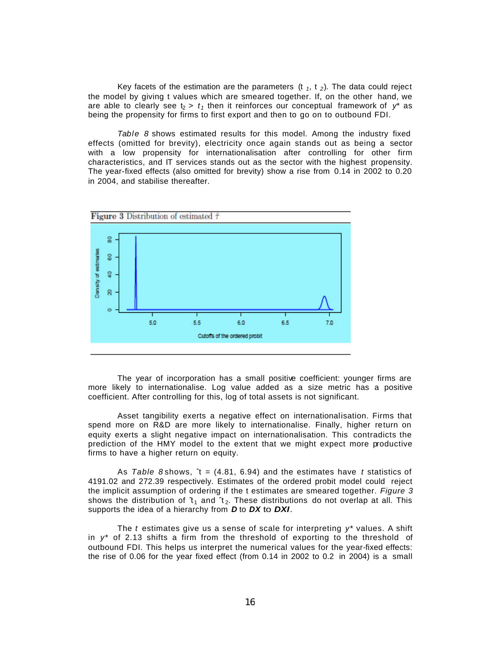Key facets of the estimation are the parameters  $(t_1, t_2)$ . The data could reject the model by giving t values which are smeared together. If, on the other hand, we are able to clearly see  $t_2 > t_1$  then it reinforces our conceptual framework of  $y^*$  as being the propensity for firms to first export and then to go on to outbound FDI.

*Table 8* shows estimated results for this model. Among the industry fixed effects (omitted for brevity), electricity once again stands out as being a sector with a low propensity for internationalisation after controlling for other firm characteristics, and IT services stands out as the sector with the highest propensity. The year-fixed effects (also omitted for brevity) show a rise from 0.14 in 2002 to 0.20 in 2004, and stabilise thereafter.



The year of incorporation has a small positive coefficient: younger firms are more likely to internationalise. Log value added as a size metric has a positive coefficient. After controlling for this, log of total assets is not significant.

Asset tangibility exerts a negative effect on internationalisation. Firms that spend more on R&D are more likely to internationalise. Finally, higher return on equity exerts a slight negative impact on internationalisation. This contradicts the prediction of the HMY model to the extent that we might expect more productive firms to have a higher return on equity.

As *Table 8* shows, ˆt = (4.81, 6.94) and the estimates have *t* statistics of 4191.02 and 272.39 respectively. Estimates of the ordered probit model could reject the implicit assumption of ordering if the t estimates are smeared together. *Figure 3* shows the distribution of  $t_1$  and  $t_2$ . These distributions do not overlap at all. This supports the idea of a hierarchy from *D* to *DX* to *DXI.*

The *t* estimates give us a sense of scale for interpreting *y\** values. A shift in *y\** of 2.13 shifts a firm from the threshold of exporting to the threshold of outbound FDI. This helps us interpret the numerical values for the year-fixed effects: the rise of 0.06 for the year fixed effect (from 0.14 in 2002 to 0.2 in 2004) is a small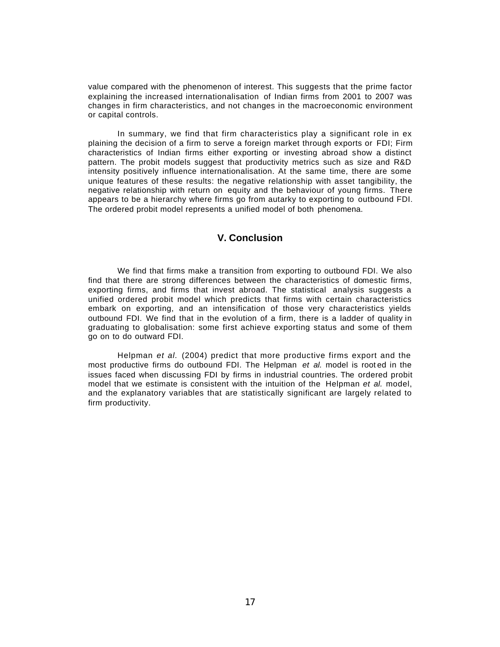value compared with the phenomenon of interest. This suggests that the prime factor explaining the increased internationalisation of Indian firms from 2001 to 2007 was changes in firm characteristics, and not changes in the macroeconomic environment or capital controls.

In summary, we find that firm characteristics play a significant role in ex plaining the decision of a firm to serve a foreign market through exports or FDI; Firm characteristics of Indian firms either exporting or investing abroad show a distinct pattern. The probit models suggest that productivity metrics such as size and R&D intensity positively influence internationalisation. At the same time, there are some unique features of these results: the negative relationship with asset tangibility, the negative relationship with return on equity and the behaviour of young firms. There appears to be a hierarchy where firms go from autarky to exporting to outbound FDI. The ordered probit model represents a unified model of both phenomena.

# **V. Conclusion**

We find that firms make a transition from exporting to outbound FDI. We also find that there are strong differences between the characteristics of domestic firms, exporting firms, and firms that invest abroad. The statistical analysis suggests a unified ordered probit model which predicts that firms with certain characteristics embark on exporting, and an intensification of those very characteristics yields outbound FDI. We find that in the evolution of a firm, there is a ladder of quality in graduating to globalisation: some first achieve exporting status and some of them go on to do outward FDI.

Helpman *et al.* (2004) predict that more productive firms export and the most productive firms do outbound FDI. The Helpman *et al.* model is root ed in the issues faced when discussing FDI by firms in industrial countries. The ordered probit model that we estimate is consistent with the intuition of the Helpman *et al.* model, and the explanatory variables that are statistically significant are largely related to firm productivity.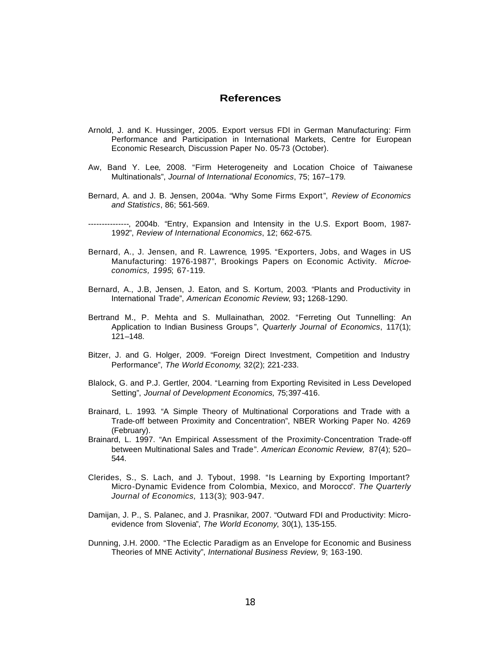# **References**

- Arnold, J. and K. Hussinger, 2005. Export versus FDI in German Manufacturing: Firm Performance and Participation in International Markets, Centre for European Economic Research, Discussion Paper No. 05-73 (October).
- Aw, Band Y. Lee, 2008. "Firm Heterogeneity and Location Choice of Taiwanese Multinationals", *Journal of International Economics*, 75; 167–179.
- Bernard, A. and J. B. Jensen, 2004a. "Why Some Firms Export", *Review of Economics and Statistics*, 86; 561-569.
- ---------------, 2004b. "Entry, Expansion and Intensity in the U.S. Export Boom, 1987- 1992", *Review of International Economics*, 12; 662-675.
- Bernard, A., J. Jensen, and R. Lawrence, 1995. "Exporters, Jobs, and Wages in US Manufacturing: 1976-1987", Brookings Papers on Economic Activity. *Microeconomics, 1995*; 67-119.
- Bernard, A., J.B, Jensen, J. Eaton, and S. Kortum, 2003. "Plants and Productivity in International Trade", *American Economic Review*, 93**;** 1268-1290.
- Bertrand M., P. Mehta and S. Mullainathan, 2002. "Ferreting Out Tunnelling: An Application to Indian Business Groups ", *Quarterly Journal of Economics*, 117(1); 121–148.
- Bitzer, J. and G. Holger, 2009. "Foreign Direct Investment, Competition and Industry Performance", *The World Economy*, 32(2); 221-233.
- Blalock, G. and P.J. Gertler, 2004. "Learning from Exporting Revisited in Less Developed Setting", *Journal of Development Economics,* 75;397-416.
- Brainard, L. 1993. "A Simple Theory of Multinational Corporations and Trade with a Trade-off between Proximity and Concentration", NBER Working Paper No. 4269 (February).
- Brainard, L. 1997. "An Empirical Assessment of the Proximity-Concentration Trade-off between Multinational Sales and Trade". *American Economic Review,* 87(4); 520– 544.
- Clerides, S., S. Lach, and J. Tybout, 1998. "Is Learning by Exporting Important? Micro-Dynamic Evidence from Colombia, Mexico, and Morocco". *The Quarterly Journal of Economics,* 113(3); 903-947.
- Damijan, J. P., S. Palanec, and J. Prasnikar, 2007. "Outward FDI and Productivity: Microevidence from Slovenia", *The World Economy*, 30(1), 135-155.
- Dunning, J.H. 2000. "The Eclectic Paradigm as an Envelope for Economic and Business Theories of MNE Activity", *International Business Review,* 9; 163-190.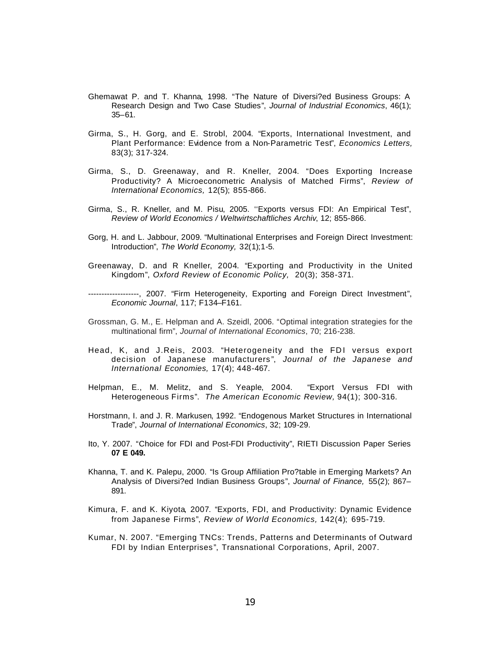- Ghemawat P. and T. Khanna, 1998. "The Nature of Diversi?ed Business Groups: A Research Design and Two Case Studies", *Journal of Industrial Economics*, 46(1); 35–61.
- Girma, S., H. Gorg, and E. Strobl, 2004. "Exports, International Investment, and Plant Performance: Evidence from a Non-Parametric Test", *Economics Letters,*  83(3); 317-324.
- Girma, S., D. Greenaway, and R. Kneller, 2004. "Does Exporting Increase Productivity? A Microeconometric Analysis of Matched Firms", *Review of International Economics,* 12(5); 855-866.
- Girma, S., R. Kneller, and M. Pisu, 2005. ''Exports versus FDI: An Empirical Test", *Review of World Economics / Weltwirtschaftliches Archiv*, 12; 855-866.
- Gorg, H. and L. Jabbour, 2009. "Multinational Enterprises and Foreign Direct Investment: Introduction", *The World Economy,* 32(1);1-5.
- Greenaway, D. and R Kneller, 2004. "Exporting and Productivity in the United Kingdom", *Oxford Review of Economic Policy,* 20(3); 358-371.
- -------------------, 2007. "Firm Heterogeneity, Exporting and Foreign Direct Investment", *Economic Journal*, 117; F134–F161.
- Grossman, G. M., E. Helpman and A. Szeidl, 2006. "Optimal integration strategies for the multinational firm", *Journal of International Economics*, 70; 216-238.
- Head, K, and J.Reis, 2003. "Heterogeneity and the FDI versus export decision of Japanese manufacturers ", *Journal of the Japanese and International Economies,* 17(4); 448-467.
- Helpman, E., M. Melitz, and S. Yeaple, 2004. "Export Versus FDI with Heterogeneous Firms". *The American Economic Review,* 94(1); 300-316.
- Horstmann, I. and J. R. Markusen, 1992. "Endogenous Market Structures in International Trade", *Journal of International Economics*, 32; 109-29.
- Ito, Y. 2007. "Choice for FDI and Post-FDI Productivity", RIETI Discussion Paper Series **07 E 049.**
- Khanna, T. and K. Palepu, 2000. "Is Group Affiliation Pro?table in Emerging Markets? An Analysis of Diversi?ed Indian Business Groups", *Journal of Finance,* 55(2); 867– 891.
- Kimura, F. and K. Kiyota, 2007. "Exports, FDI, and Productivity: Dynamic Evidence from Japanese Firms", *Review of World Economics,* 142(4); 695-719.
- Kumar, N. 2007. "Emerging TNCs: Trends, Patterns and Determinants of Outward FDI by Indian Enterprises ", Transnational Corporations, April, 2007.